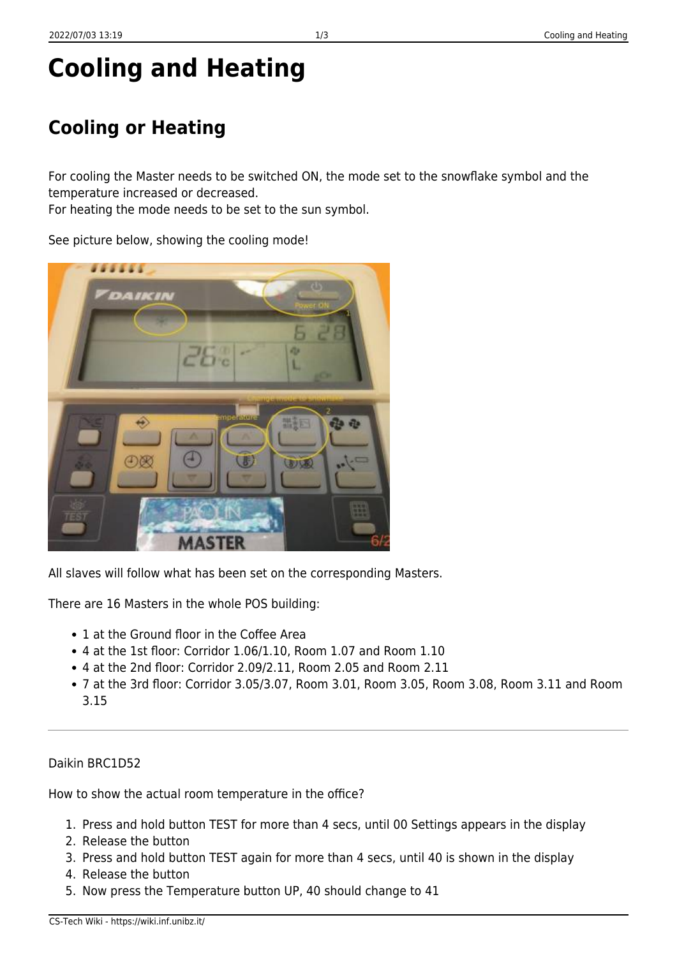## **Cooling or Heating**

For cooling the Master needs to be switched ON, the mode set to the snowflake symbol and the temperature increased or decreased.

For heating the mode needs to be set to the sun symbol.

See picture below, showing the cooling mode!



There are 16 Masters in the whole POS building:

- 1 at the Ground floor in the Coffee Area
- 4 at the 1st floor: Corridor 1.06/1.10, Room 1.07 and Room 1.10
- 4 at the 2nd floor: Corridor 2.09/2.11, Room 2.05 and Room 2.11
- 7 at the 3rd floor: Corridor 3.05/3.07, Room 3.01, Room 3.05, Room 3.08, Room 3.11 and Room 3.15

## Daikin BRC1D52

How to show the actual room temperature in the office?

- 1. Press and hold button TEST for more than 4 secs, until 00 Settings appears in the display
- 2. Release the button
- 3. Press and hold button TEST again for more than 4 secs, until 40 is shown in the display
- 4. Release the button
- 5. Now press the Temperature button UP, 40 should change to 41